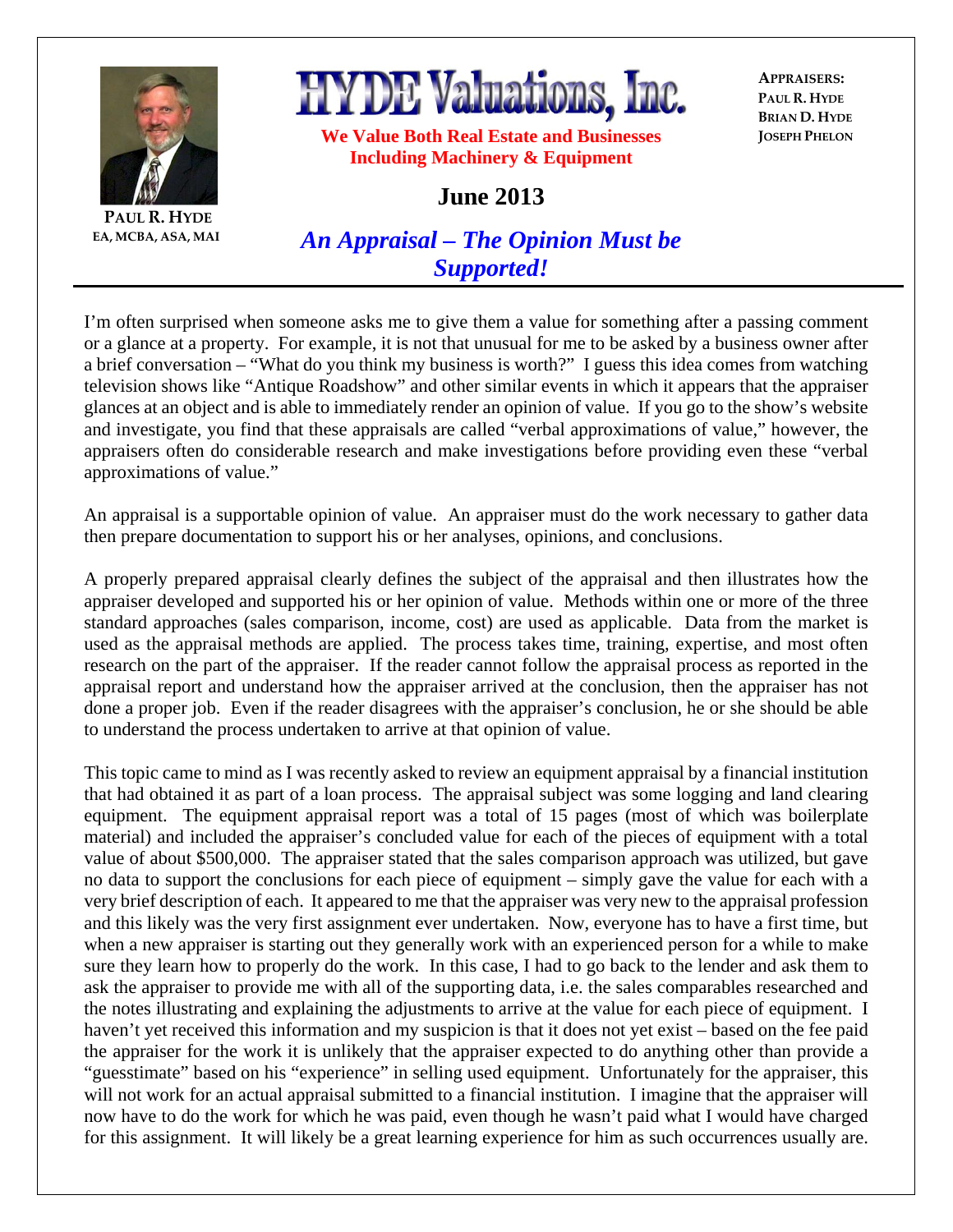

**PAUL R. HYDE EA, MCBA, ASA, MAI**

## **HYDE Valuations, Inc.**

**APPRAISERS: PAUL R. HYDE BRIAN D. HYDE JOSEPH PHELON**

**We Value Both Real Estate and Businesses Including Machinery & Equipment** 

**June 2013** 

*An Appraisal – The Opinion Must be Supported!*

I'm often surprised when someone asks me to give them a value for something after a passing comment or a glance at a property. For example, it is not that unusual for me to be asked by a business owner after a brief conversation – "What do you think my business is worth?" I guess this idea comes from watching television shows like "Antique Roadshow" and other similar events in which it appears that the appraiser glances at an object and is able to immediately render an opinion of value. If you go to the show's website and investigate, you find that these appraisals are called "verbal approximations of value," however, the appraisers often do considerable research and make investigations before providing even these "verbal approximations of value."

An appraisal is a supportable opinion of value. An appraiser must do the work necessary to gather data then prepare documentation to support his or her analyses, opinions, and conclusions.

A properly prepared appraisal clearly defines the subject of the appraisal and then illustrates how the appraiser developed and supported his or her opinion of value. Methods within one or more of the three standard approaches (sales comparison, income, cost) are used as applicable. Data from the market is used as the appraisal methods are applied. The process takes time, training, expertise, and most often research on the part of the appraiser. If the reader cannot follow the appraisal process as reported in the appraisal report and understand how the appraiser arrived at the conclusion, then the appraiser has not done a proper job. Even if the reader disagrees with the appraiser's conclusion, he or she should be able to understand the process undertaken to arrive at that opinion of value.

This topic came to mind as I was recently asked to review an equipment appraisal by a financial institution that had obtained it as part of a loan process. The appraisal subject was some logging and land clearing equipment. The equipment appraisal report was a total of 15 pages (most of which was boilerplate material) and included the appraiser's concluded value for each of the pieces of equipment with a total value of about \$500,000. The appraiser stated that the sales comparison approach was utilized, but gave no data to support the conclusions for each piece of equipment – simply gave the value for each with a very brief description of each. It appeared to me that the appraiser was very new to the appraisal profession and this likely was the very first assignment ever undertaken. Now, everyone has to have a first time, but when a new appraiser is starting out they generally work with an experienced person for a while to make sure they learn how to properly do the work. In this case, I had to go back to the lender and ask them to ask the appraiser to provide me with all of the supporting data, i.e. the sales comparables researched and the notes illustrating and explaining the adjustments to arrive at the value for each piece of equipment. I haven't yet received this information and my suspicion is that it does not yet exist – based on the fee paid the appraiser for the work it is unlikely that the appraiser expected to do anything other than provide a "guesstimate" based on his "experience" in selling used equipment. Unfortunately for the appraiser, this will not work for an actual appraisal submitted to a financial institution. I imagine that the appraiser will now have to do the work for which he was paid, even though he wasn't paid what I would have charged for this assignment. It will likely be a great learning experience for him as such occurrences usually are.